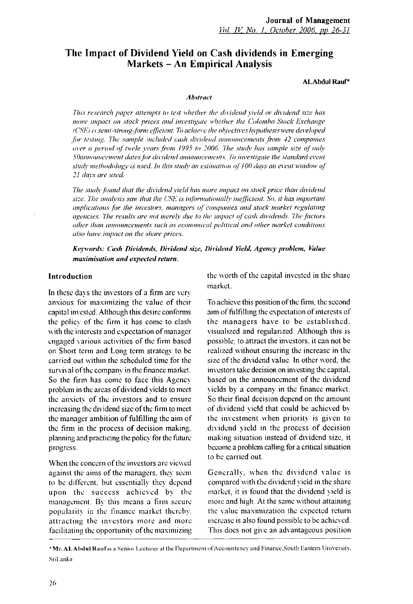# **The Impact of Dividend Yield on Cash dividends in Emerging Markets - An Empirical Analysis**

#### ALAbdul Rauf\*

#### *Abstract*

*This research paper attempts to test whether the dividend yield or dividend size has more impact on stock prices and investigate whether the Colombo Stock Exchange (CSE) is semi-strong-form efficient. To achieve the objectives hypothesis were developed for testing. 'The sample included cash dividend announcements from 42 companies over a period of twele years from 1995 to 2006. The study has sample size of only 50announcement dates for dividend announcements. To investigate the standard event study methodology is used. In this study an estimation of 100 days an event window of 21 days are used.* 

*The study found (hat the dividend yield has more impact on stock price than dividend size. The analysis saw that the* CSV: *is informationally inefficient. So, it has important implications for the investors, managers of companies and stock market regulating agencies. The results are not merely due to the impact of cash dividends. The factors other than announcements such as economical political and other market conditions also have impact on the share prices.* 

*Keywords: Cash Dividends, Dividend size, Dividend Yield, Agency problem, Value maximisation and expected return.* 

#### **Introduction**

In these days the investors of a firm are very anxious for maximizing the value of their capital invested. Although this desire conforms the policv of the firm it has come to clash with the interests and expectation of manager engaged various activities of the firm based on Short tenn and Long term strategy to be carried out within the scheduled time for the survival of the company in the finance market. So the firm has come to face this Agency problem in die areas of dividend yields to meet the anxiety of the investors and to ensure increasing the dividend size of the firm to meet the manager ambition of fulfilling the aim of the firm in the process of decision making, planning and practicing the policy for the future progress.

When the concern of the investors are viewed against the aims of the managers, they seem to be different, but essentially they depend upon the success achieved by the management. By this means a firm secure popularity in the finance market thereby, attracting the investors more and more facilitating the opportunity of the maximizing the worth of the capital invested in the share market.

To achieve this position of the firm, the second aim of fulfilling the expectation of interests of the managers have to be established. visualized and regularized. Although this is possible, to attract the investors, it can not be realized without ensuring the increase in the size of the dividend value. In other word, the investors take decision on investing the capital, based on the announcement of the dividend viclds by a company in the finance market. So their final decision depend on the amount of dividend yield that could be achieved by the investment when priority is given to dividend yield in the process of decision making situation instead of dividend size, it become a problem calling for a critical situation to be carried out.

Generally, when the dividend value is compared with the dividend yield in the share market, it is found that the dividend yield is more and high. At the same without attaining the value maximization the expected return increase is also found possible to be achieved. This docs not give an advantageous position

<sup>&#</sup>x27;Mr. A L Abdul Riiuf is a Senior Lecturer nl the Depart men I of Accountancy and Financc.Soulh Eastern University, SriLanka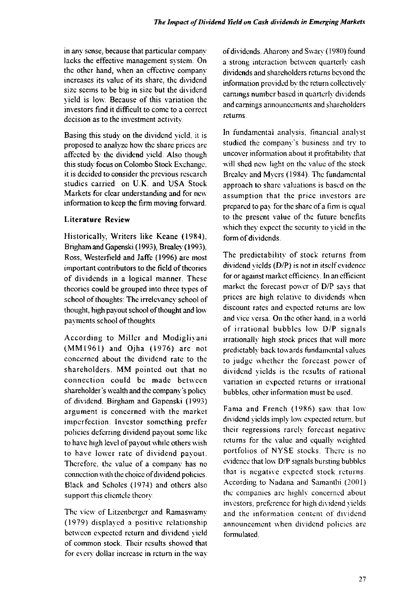in any sense, because that particular company lacks the effective management system. On the other hand, when an effective company increases its value of its share, the dividend size seems to be big in size but the dividend yield is low. Because of this variation the investors find it difficult to come to a correct decision as to the investment activity.

Basing this study on the dividend yield, it is proposed to analyze how the share prices are affected by the dividend yield. Also though this study focus on Colombo Stock Exchange, it is decided to consider the previous research studies carried on U.K. and USA Stock Markets for clear understanding and for new information to keep the firm moving forward.

# **Literature Review**

Historically, Writers like Keane (1984), Bngham and Gapenski (1993), Brealcy (1993), Ross, Westerfield and Jaffc (1996) are most important contributors to the field of theories of dividends in a logical manner. These theories could be grouped into three types of school of thoughts: The irrelevancy school of thought, high payout school of thought and low pavments school of thoughts.

According to Miller and Modigliyani  $(MM1961)$  and Ojha  $(1976)$  are not concerned about the dividend rate to the shareholders. MM pointed out that no connection could be made between shareholder's wealth and the company's policy of dividend, Birgham and Gapenski (1993) argument is concerned with the market imperfection. Investor something prefer policies deferring dividend payout some like to have high level of payout while others wish to have lower rate of dividend payout. Therefore, the value of a company has no connection with the choice of dividend policies. Black and Scholcs (1974) and others also support this clientele theory.

The view of Litzenberger and Ramaswamy (1979 ) displayed a positive relationship between expected return and dividend yield of common stock. Their results showed that for every dollar increase in return in the way of dividends. Aharony and Swary (1980) found a strong interaction between quarterly cash dividends and shareholders returns beyond the information provided by the return collectively earnings number based in quarterly dividends and earnings announcements and shareholders returns.

In fundamental analysis, financial analyst studied the company's business and try to uncover information about it profitability that will shed new light on the value of the stock Brealcy and Myers (1984). The fundamental approach to share valuations is based on the assumption that the price investors are prepared to pay for the share of a firm is equal to the present value of the future benefits which they expect the security to yield in the form of dividends.

The predictability of stock returns from dividend yields (D/P) is not in itself evidence for or against market efficiency. In an efficient market the forecast power of D/P says that prices arc high relative to dividends when discount rates and expected returns are low and vice versa. On the other hand, in a world of irrational bubbles low  $D/P$  signals irrationally high stock prices that will more predictably back towards fundamental values to judge whether the forecast power of dividend vields is the results of rational variation in expected returns or irrational bubbles, other information must be used.

Fama and French (1986) saw that low dividend yields imply low expected return, but their regressions rarely forecast negative returns for the value and equally weighted portfolios of NYSE stocks. There is no evidence that low D/P signals bursting bubbles that is negative expected stock returns. According to Nadana and Samanlhi (2001) the companies are highly concerned about investors, preference for high dividend yields and the information content of dividend announcement when dividend policies are formulated.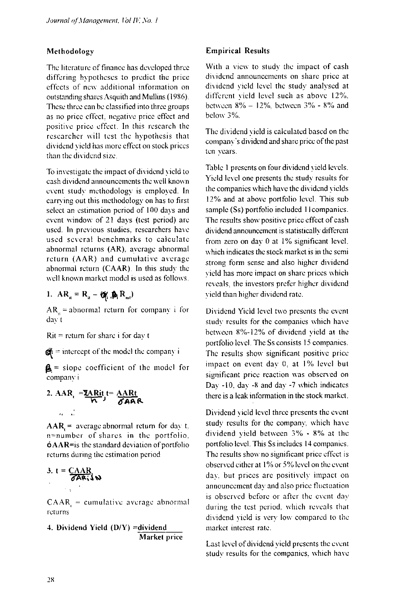#### Methodology

The literature of finance has developed three differing hypotheses to predict the price effects of new additional information on outstanding shares Asquith and Mullins (1986). These three can be classified into three groups as no price effect, negative price effect and positive price effect. In this research the researcher will test the hypothesis that dividend yield has more effect on stock prices than the dividend size.

To investigate the impact of dividend yield to cash dividend announcements the well known event study methodology is employed. In carrying out this methodology on has to first select an estimation period of 100 days and event window of 21 days (test period) are used. In previous studies, researchers have used several benchmarks to calculate abnormal returns (AR). average abnormal return  $(AAR)$  and cumulative average abnormal return (CAAR). In this study the well known market model is used as follows,

1. 
$$
AR_{it} = R_{it} - Q_{it} \oplus R_{nt}
$$

 $AR_{\alpha}$  = abnormal return for company i for day t

 $Rit$  = return for share i for day t

 $\hat{\mathbf{g}}_i$  = intercept of the model the company i

 $\mathbf{A}$  = slope coefficient of the model for company i

2. 
$$
AAR_t = \frac{\Sigma ARit}{N}t = \frac{AARt}{\delta AAR}
$$

 $AAR$  = average abnormal return for day t,  $n=$ number of shares in the portfolio. 6AAR=is the standard deviation of portfolio returns during the estimation period

3. 
$$
t = \frac{CAAR}{\sigma A R_1} \omega
$$

 $\text{CAAR}$  = cumulative average abnormal retu rns

4. Dividend Yield  $(D/Y)$  =dividend Market price

### **Empirical Results**

With a view to study the impact of cash dividend announcements on share price at dividend yield level the study analysed at different yield level such as above 12%. between  $8\% - 12\%$ , between  $3\% - 8\%$  and below 3%.

The dividend yield is calculated based on the company's dividend and share price of the past ten years.

Table 1 presents on four dividend yield levels. Yield level one presents the study results for the companies which have the dividend yields 12% and at above portfolio level. This sub sample (Ss) portfolio included 11 companies. The results show positive price effect of cash dividend announcement is statistically different from zero on day 0 at 1% significant level, which indicates the stock market is in the semi strong form sense and also higher dividend yield has more impact on share prices which reveals, the investors prefer higher dividend yield than higher dividend rate.

Dividend Yield level two presents the event study results for the companies which have between 8%-12% of dividend yield at the portfolio level. The Ss consists 15 companies. The results show significant positive price impact on event day 0, at 1% level but significant price reaction was observed on Day -10, day -8 and day -7 which indicates there is a leak information in the stock market.

Dividend yield level three presents the event study results for the company, which have dividend yield between  $3\%$  -  $8\%$  at the portfolio level. This Ss includes 14 companies. The results show no significant price effect is observed either at 1% or 5% level on the event day, but prices are positively impact on announcement day and also price fluctuation is observed before or after the event day during the test period, which reveals that dividend yield is very low compared to the market interest rate.

Last level of dividend yield presents the event studv results for the companies, which have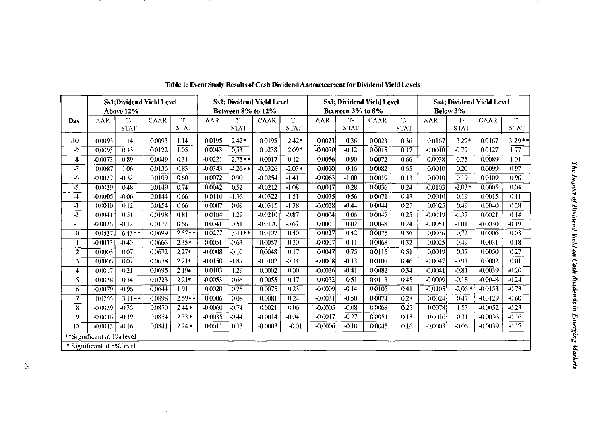|                           |                           | Above 12%         | <b>Ss1: Dividend Yield Level</b> |                   | <b>Ss2: Dividend Yield Level</b><br>Between 8% to 12% |                     |             |                      | <b>Ss3; Dividend Yield Level</b><br>Between 3% to 8% |                   |             |                   | <b>Ss4; Dividend Yield Level</b><br>Below 3% |             |           |                   |
|---------------------------|---------------------------|-------------------|----------------------------------|-------------------|-------------------------------------------------------|---------------------|-------------|----------------------|------------------------------------------------------|-------------------|-------------|-------------------|----------------------------------------------|-------------|-----------|-------------------|
| Day                       | <b>AAR</b>                | т.<br><b>STAT</b> | <b>CAAR</b>                      | T-<br><b>STAT</b> | $\Lambda\Lambda R$                                    | $T-$<br><b>STAT</b> | <b>CAAR</b> | $T -$<br><b>STAT</b> | <b>AAR</b>                                           | т.<br><b>STAT</b> | <b>CAAR</b> | т.                | $\Lambda\Lambda R$                           | $T -$       | CAAR      | Т.<br><b>STAT</b> |
|                           |                           |                   |                                  |                   |                                                       |                     |             |                      |                                                      |                   |             | <b>STAT</b>       |                                              | <b>STAT</b> |           |                   |
| .10                       | 0.0093                    | 1.14              | 0.0093                           | 1.14              | 0.0195                                                | $2.42*$             | 00195       | $2.42*$              | 0.0023                                               | 0.36              | 0.0023      | 0.36              | 0.0167                                       | $3.29*$     | 0.0167    | $3.29**$          |
| -9                        | 0.0093                    | 0.35              | 0.0122                           | 1.05              | 0.0043                                                | 0,53                | 0.0238      | $2.09*$              | $-0.0070$                                            | $-0.12$           | 0.0015      | 0.17              | $-0.0040$                                    | $-0.79$     | 0.0127    | 1.77              |
| $\mathbf{r}$              | $-0.0073$                 | $-0.89$           | 0.0049                           | 0.34              | $-0.0221$                                             | $-2.75**$           | 00017       | $\overline{0.12}$    | 0.0056                                               | 0.90              | 0.0072      | 066               | $-0.0038$                                    | $-0.75$     | 0,0089    | 101               |
| $-7$                      | 0.0087                    | 1.06              | 0.0136                           | 0.83              | $-0.0343$                                             | $-1.26**$           | $-0.0326$   | $-2.03*$             | 0.0010                                               | 0.16              | 0.0082      | 065               | 0.0010                                       | 0.20        | 0.0099    | 0.97              |
| $\left($                  | $-0.0027$                 | $-0.32$           | 0.0109                           | 0.60              | 0,0072                                                | 0.90                | $-0.0254$   | $-1.41$              | $-0.0063$                                            | $-1,00$           | 0.0019      | 013               | 0.0010                                       | 0.19        | 0.0109    | 0.96              |
| $\cdot$ 5                 | 0.0039                    | 0.48              | 0.0149                           | 0.74              | 0.0042                                                | 0.52                | $-0.0212$   | $-1.08$              | 0.0017                                               | 0.28              | 0.0036      | 0.24              | $-0.0103$                                    | $-2.03*$    | 0.0005    | 0.04              |
| 4                         | $-0.0005$                 | $-0.06$           | 0.0144                           | 0.66              | $-0.0110$                                             | $-1.36$             | $-0.0322$   | $-1.51$              | 0.0035                                               | 0.56              | 0.0071      | 0.43              | 0,0010                                       | 0.19        | 0.0015    | 0.11              |
| -3                        | 0.0010                    | 0.12              | 00154                            | 0.66              | 0.0007                                                | 0.09                | $-0.0315$   | $-1.38$              | $-0(0.028)$                                          | $-0.44$           | 0.0044      | 0.25              | 0.0025                                       | 0.49        | (0.0040)  | 0.28              |
| $-2$                      | 0.0044                    | 0.54              | 0.0198                           | 0.81              | 0.0104                                                | 1.29                | $-0.0210$   | $-0.87$              | 0.0004                                               | 0.06              | 0.0047      | 0.25              | $-0.0019$                                    | $-0.37$     | 0.0021    | 0.14              |
| $-1$                      | $-0(0.026)$               | $-0.32$           | 0.0172                           | 0.66              | 0,0041                                                | 0.51                | -0.0170     | $-0.67$              | 0.0001                                               | 0.02              | 0.0048      | (124)             | $-0.0051$                                    | $-1.01$     | $-0.0030$ | $-0.19$           |
| $\theta$                  | 0.0527                    | $6.43**$          | 0.0699                           | $2.57**$          | 0.0277                                                | $3.44**$            | 0.0107      | 0,40                 | 0.0027                                               | 0.42              | 0,0075      | 0.36              | 0.0036                                       | 0,72        | 0.0006    | 0.03              |
|                           | $-0.0033$                 | $-0.40$           | 0.0666                           | $2.35*$           | $-0.0051$                                             | $-0.63$             | 0(0.057)    | 0.20                 | $-0.0007$                                            | $-0.11$           | 0.0068      | 0.32              | 0.0025                                       | 0.49        | 0.0031    | 0.18              |
| $\overline{2}$            | 0.0005                    | 0.07              | 0.0672                           | $2.27*$           | $-0.0008$                                             | $-0.10$             | 0.0048      | 0.17                 | 0,0047                                               | 0.75              | 0.0115      | 0.51              | 0.0019                                       | 0.37        | 0.0050    | 0.27              |
| $\overline{3}$            | 0.0006                    | 0.07              | 0.0678                           | $2.21*$           | $-0.0150$                                             | $-1.87$             | $-0.0102$   | $-0.34$              | $-0.0008$                                            | $-0.13$           | 0.0107      | 0.46              | $-0.0047$                                    | $-0.93$     | 0,0002    | 0.01              |
| 4                         | 0.0017                    | 0.21              | 0.0695                           | $2.19*$           | 0.0103                                                | 1.29                | 0.0002      | 0.00                 | $-0.0026$                                            | $-0.41$           | 0.0082      | 0.34              | $-0.0041$                                    | $-0.81$     | $-0.0039$ | $-0.20$           |
| $\overline{5}$            | 0.0028                    | 0.34              | 0.0723                           | $2.21*$           | 0.0053                                                | 0.66                | 0.0055      | 0.17                 | 0.0032                                               | 0.51              | 0.0113      | 0.45              | $-0.0009$                                    | $-0.18$     | $-0.0048$ | $-0.24$           |
| 6                         | $-0,0079$                 | $-0.96$           | 0.0644                           | 1.91              | 0.0020                                                | 0.25                | 00075       | 0.23                 | $-0.0009$                                            | $-0.14$           | 00105       | 041               | -0.0105                                      | $-2.06*$    | $-0.0153$ | $-0.73$           |
| 7                         | 0.0255                    | $3.11**$          | 0.0898                           | $2.59**$          | $-0.0006$                                             | 0.08                | 0.0081      | 0.24                 | $-0.0031$                                            | $-0.50$           | 0.0074      | 0.28              | 0.0024                                       | 0.47        | $-0.0129$ | $-0.60$           |
| 8                         | $-0.0029$                 | $-0.35$           | 0.0870                           | $2.44*$           | $-0.0060$                                             | $-0.74$             | 0(0021)     | 0.06                 | $-0.0005$                                            | $-0.08$           | 0.0068      | $\overline{0.25}$ | 0.0078                                       | 1.53        | $-0.0052$ | $-0.23$           |
| 9                         | $-0.0016$                 | $-0.19$           | 0.0854                           | $2.33*$           | -0.0035                                               | $-0.44$             | $-0.0014$   | $-0.04$              | 0.0017                                               | $-0.27$           | 0,0051      | 0.18              | 0.0016                                       | 0.31        | $-0.0036$ | $-0.16$           |
| 10                        | $-0.0013$                 | $-0.16$           | 0.0841                           | $2.24*$           | 0.0011                                                | 0.13                | $-0.0003$   | $-0.01$              | $-0.0006$                                            | $-0.10$           | 0.0045      | 0.16              | $-0.0003$                                    | $-0.06$     | $-0.0039$ | $-0.17$           |
|                           | **Significant at 1% level |                   |                                  |                   |                                                       |                     |             |                      |                                                      |                   |             |                   |                                              |             |           |                   |
| * Significant at 5% level |                           |                   |                                  |                   |                                                       |                     |             |                      |                                                      |                   |             |                   |                                              |             |           |                   |

| Table 1: Event Study Results of Cash Dividend Announcement for Dividend Yield Levels |
|--------------------------------------------------------------------------------------|
|                                                                                      |

and the control

**Contract** 

**Contract** 

 $\sim 5-$ 

 $-$ 

**Contract Contract** 

 $\frac{1}{2}$ 

 $\sim$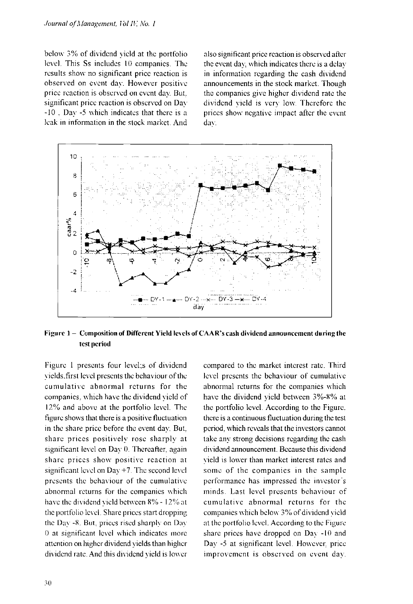below 3% of dividend yield at the portfolio level. This Ss includes 10 companies. The results show no significant price reaction is observed on event day. However positive price reaction is observed on event dav. But. significant price reaction is observed on Dav  $-10$ . Day  $-5$  which indicates that there is a leak in information in the slock market. And

also significant price reaction is observed after the event dav; which indicates there is a delay in information regarding the cash dividend announcements in the stock market. Though the companies give higher dividend rate the dividend yield is very low. Therefore the prices show negative impact after the event day.



Figure 1 - Composition of Different Yield levels of CAAR's cash dividend announcement during the **test period** 

Figure 1 presents four level;s of dividend yields.first level presents the behaviour of the cumulative abnormal returns for the companies, which have the dividend yield of 12% and above at the portfolio level. The figure shows that there is a positive fluctuation in the share price before the event day. But. share prices positively rose sharply at significant level on Day 0. Thereafter, again share prices show positive reaction at significant level on Day +7. The second level presents the behaviour of the cumulative abnormal returns for the companies which have the dividend yield between 8% - 12% at the portfolio level. Share prices start dropping the Day -8. But, prices rised sharply on Day 0 at significant level which indicates more attention on higher dividend yields than higher dividend rate. And this dividend yield is lower

compared to the market interest rate. Third level presents the behaviour of cumulative abnormal returns for the companies which have the dividend yield between  $3\% - 8\%$  at the portfolio level. According to the Figure, there is a continuous fluctuation during the test period, which reveals that the investors cannot take any strong decisions regarding the cash dividend announcement. Because this dividend yield is lower than market interest rates and some of the companies in the sample performance has impressed the investor's minds. Last level presents behaviour of cumulative abnormal returns for the companies which below 3 % of dividend yield at the portfolio level. According to the Figure share prices have dropped on Day -10 and Day -5 at significant level. However, price improvement is observed on event day.